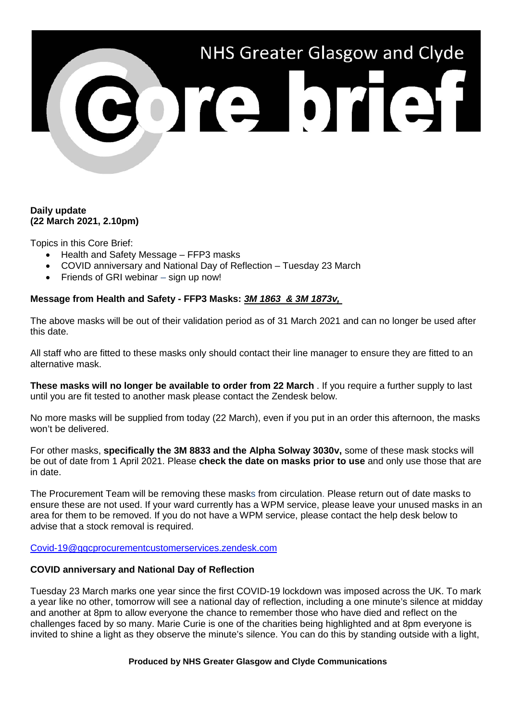# NHS Greater Glasgow and Clyde Porte brief

### **Daily update (22 March 2021, 2.10pm)**

Topics in this Core Brief:

- Health and Safety Message FFP3 masks
- COVID anniversary and National Day of Reflection Tuesday 23 March
- Friends of GRI webinar sign up now!

# **Message from Health and Safety - FFP3 Masks:** *3M 1863 & 3M 1873v,*

The above masks will be out of their validation period as of 31 March 2021 and can no longer be used after this date.

All staff who are fitted to these masks only should contact their line manager to ensure they are fitted to an alternative mask.

**These masks will no longer be available to order from 22 March** . If you require a further supply to last until you are fit tested to another mask please contact the Zendesk below.

No more masks will be supplied from today (22 March), even if you put in an order this afternoon, the masks won't be delivered.

For other masks, **specifically the 3M 8833 and the Alpha Solway 3030v,** some of these mask stocks will be out of date from 1 April 2021. Please **check the date on masks prior to use** and only use those that are in date.

The Procurement Team will be removing these masks from circulation. Please return out of date masks to ensure these are not used. If your ward currently has a WPM service, please leave your unused masks in an area for them to be removed. If you do not have a WPM service, please contact the help desk below to advise that a stock removal is required.

[Covid-19@ggcprocurementcustomerservices.zendesk.com](mailto:Covid-19@ggcprocurementcustomerservices.zendesk.com)

### **COVID anniversary and National Day of Reflection**

Tuesday 23 March marks one year since the first COVID-19 lockdown was imposed across the UK. To mark a year like no other, tomorrow will see a national day of reflection, including a one minute's silence at midday and another at 8pm to allow everyone the chance to remember those who have died and reflect on the challenges faced by so many. Marie Curie is one of the charities being highlighted and at 8pm everyone is invited to shine a light as they observe the minute's silence. You can do this by standing outside with a light,

#### **Produced by NHS Greater Glasgow and Clyde Communications**